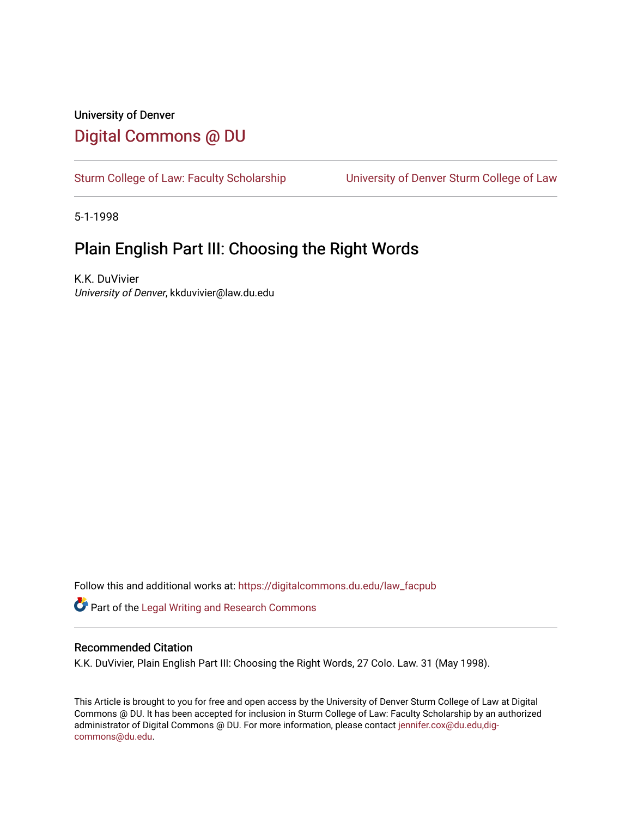# University of Denver [Digital Commons @ DU](https://digitalcommons.du.edu/)

[Sturm College of Law: Faculty Scholarship](https://digitalcommons.du.edu/law_facpub) [University of Denver Sturm College of Law](https://digitalcommons.du.edu/denver_law) 

5-1-1998

# Plain English Part III: Choosing the Right Words

K.K. DuVivier University of Denver, kkduvivier@law.du.edu

Follow this and additional works at: [https://digitalcommons.du.edu/law\\_facpub](https://digitalcommons.du.edu/law_facpub?utm_source=digitalcommons.du.edu%2Flaw_facpub%2F375&utm_medium=PDF&utm_campaign=PDFCoverPages) 

Part of the [Legal Writing and Research Commons](http://network.bepress.com/hgg/discipline/614?utm_source=digitalcommons.du.edu%2Flaw_facpub%2F375&utm_medium=PDF&utm_campaign=PDFCoverPages) 

#### Recommended Citation

K.K. DuVivier, Plain English Part III: Choosing the Right Words, 27 Colo. Law. 31 (May 1998).

This Article is brought to you for free and open access by the University of Denver Sturm College of Law at Digital Commons @ DU. It has been accepted for inclusion in Sturm College of Law: Faculty Scholarship by an authorized administrator of Digital Commons @ DU. For more information, please contact [jennifer.cox@du.edu,dig](mailto:jennifer.cox@du.edu,dig-commons@du.edu)[commons@du.edu.](mailto:jennifer.cox@du.edu,dig-commons@du.edu)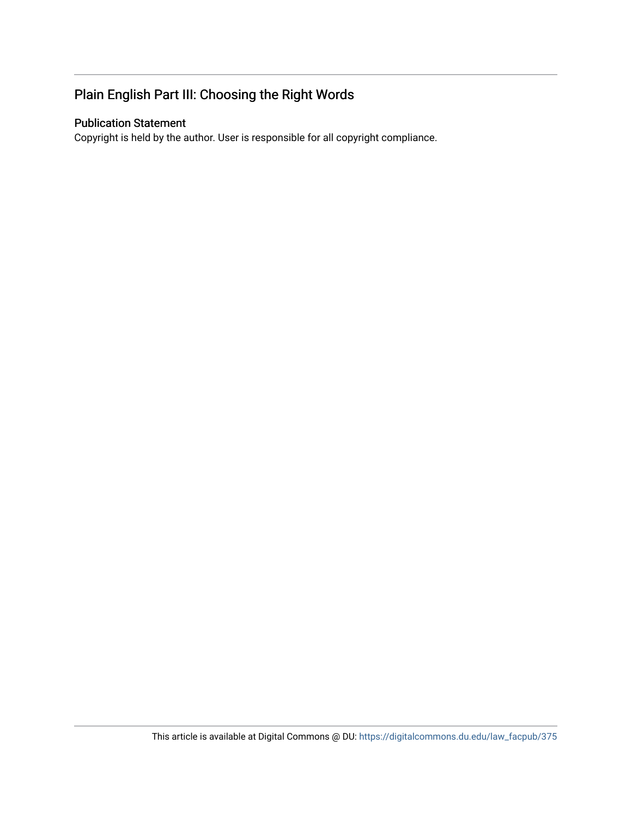# Plain English Part III: Choosing the Right Words

## Publication Statement

Copyright is held by the author. User is responsible for all copyright compliance.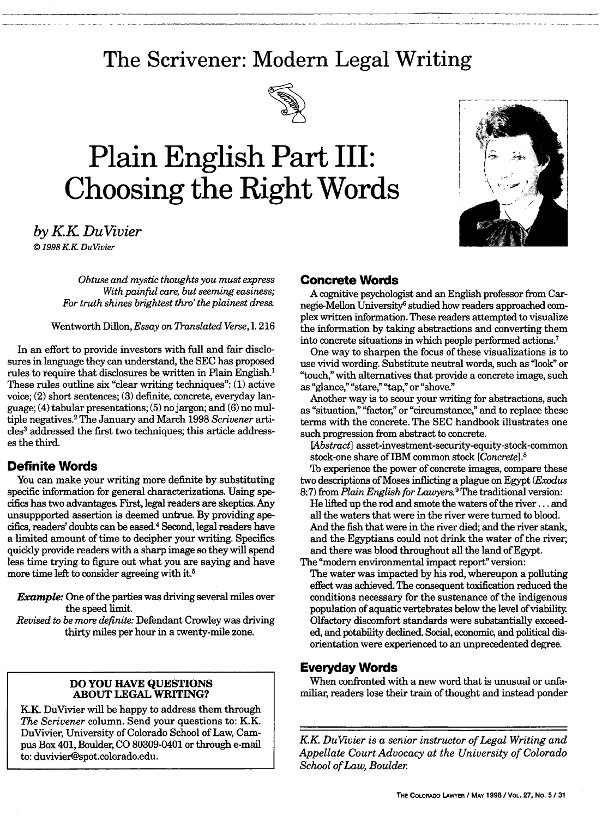# **The Scrivener: Modern Legal Writing**



# **Plain English Part III: Choosing the Right Words**



*by KK DuVivier* **j** *© 1998 KK DuVivier*

*Obtuse and mystic thoughts you must express With painful care, but seeming easiness; For truth shines brightest thro' the plainest dress*

Wentworth Dillon, *Essay on Translated Verse,* 1. 216

In an effort to provide investors with full and fair disclosures in language they can understand, the SEC has proposed rules to require that disclosures be written in Plain English.' These rules outline six "clear writing techniques": (1) active voice; (2) short sentences; (3) definite, concrete, everyday language; (4) tabular presentations; (5) no jargon; and (6) no multiple negatives. 2 The January and March 1998 *Scrivener* articles<sup>3</sup> addressed the first two techniques; this article addresses the third.

## **Definite Words**

You can make your writing more definite by substituting specific information for general characterizations. Using specifics has two advantages. First, legal readers are skeptics. Any unsuppported assertion is deemed untrue. By providing specifics, readers' doubts can be eased.4 Second, legal readers have a limited amount of time to decipher your writing. Specifics quickly provide readers with a sharp image so they will spend less time trying to figure out what you are saying and have more time left to consider agreeing with it.<sup>5</sup>

*Example:* One of the parties was driving several miles over the speed limit.

*Revised to be more definite:* Defendant Crowley was driving thirty miles per hour in a twenty-mile zone.

#### **DO YOU HAVE QUESTIONS ABOUT LEGAL WRITING?**

KK DuVivier will be happy to address them through *The Scrivener* column. Send your questions to: K.K. DuVivier, University of Colorado School of Law, Campus Box 401, Boulder, CO 80309-0401 or through e-mail to: duvivier@spot.colorado.edu.

#### **Concrete Words**

A cognitive psychologist and an English professor from Carnegie-Mellon University6 studied how readers approached complex written information. These readers attempted to visualize the information by taking abstractions and converting them into concrete situations in which people performed actions.7

One way to sharpen the focus of these visualizations is to use vivid wording. Substitute neutral words, such as "look" or "touch," with alternatives that provide a concrete image, such as "glance," "stare," "tap," or "shove."

Another way is to scour your writing for abstractions, such as "situation," "factor," or "circumstance," and to replace these terms with the concrete. The SEC handbook illustrates one such progression from abstract to concrete.

*[Abstract]* asset-investment-security-equity-stock-common stock-one share of IBM common stock *[Concrete].8*

To experience the power of concrete images, compare these two descriptions of Moses inflicting a plague on Egypt *(Exodus* 8:7) from *Plain English for Lawyers. <sup>9</sup>*The traditional version:

He lifted up the rod and smote the waters of the river **...** and all the waters that were in the river were turned to blood. And the fish that were in the river died; and the river stank, and the Egyptians could not drink the water of the river; and there was blood throughout all the land of Egypt.

The "modem environmental impact report" version:

The water was impacted by his rod, whereupon a polluting effect was achieved. The consequent toxification reduced the conditions necessary for the sustenance of the indigenous population of aquatic vertebrates below the level of viability. Olfactory discomfort standards were substantially exceeded, and potability declined. Social, economic, and political disorientation were experienced to an unprecedented degree.

## **Everyday Words**

When confronted with a new word that is unusual or unfamiliar, readers lose their train of thought and instead ponder

*KK DuVivier is a senior instructor of Legal Writing and Appellate Court Advocacy at the University of Colorado School of Law, Boulder*